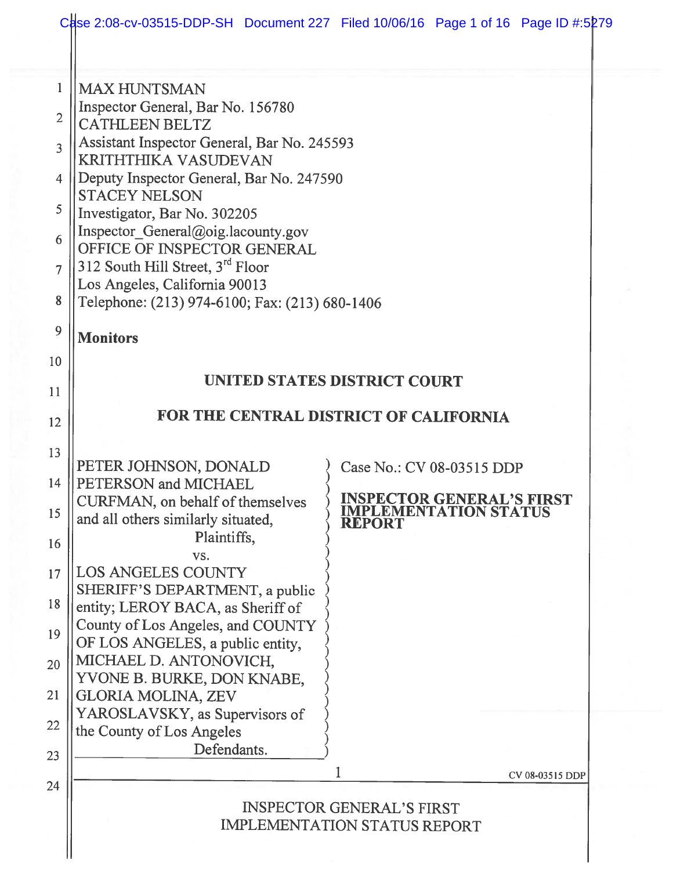|                | Case 2:08-cv-03515-DDP-SH Document 227 Filed 10/06/16 Page 1 of 16 Page ID #:5279              |
|----------------|------------------------------------------------------------------------------------------------|
| $\mathbf{1}$   | <b>MAX HUNTSMAN</b>                                                                            |
| $\overline{2}$ | Inspector General, Bar No. 156780<br><b>CATHLEEN BELTZ</b>                                     |
| 3              | Assistant Inspector General, Bar No. 245593                                                    |
| 4              | <b>KRITHTHIKA VASUDEVAN</b><br>Deputy Inspector General, Bar No. 247590                        |
| 5              | <b>STACEY NELSON</b>                                                                           |
|                | Investigator, Bar No. 302205<br>Inspector_General@oig.lacounty.gov                             |
| 6              | OFFICE OF INSPECTOR GENERAL                                                                    |
| $\overline{7}$ | 312 South Hill Street, 3rd Floor<br>Los Angeles, California 90013                              |
| 8              | Telephone: (213) 974-6100; Fax: (213) 680-1406                                                 |
| 9              | <b>Monitors</b>                                                                                |
| 10             |                                                                                                |
| 11             | UNITED STATES DISTRICT COURT                                                                   |
| 12             | FOR THE CENTRAL DISTRICT OF CALIFORNIA                                                         |
| 13             |                                                                                                |
| 14             | PETER JOHNSON, DONALD<br>Case No.: CV 08-03515 DDP<br>PETERSON and MICHAEL                     |
| 15             | <b>INSPECTOR GENERAL'S FIRST<br/>IMPLEMENTATION STATUS</b><br>CURFMAN, on behalf of themselves |
|                | and all others similarly situated,<br><b>REPORT</b><br>Plaintiffs,                             |
| 16             | VS.                                                                                            |
| 17             | LOS ANGELES COUNTY<br>SHERIFF'S DEPARTMENT, a public                                           |
| 18             | entity; LEROY BACA, as Sheriff of                                                              |
| 19             | County of Los Angeles, and COUNTY<br>OF LOS ANGELES, a public entity,                          |
| 20             | MICHAEL D. ANTONOVICH,                                                                         |
| 21             | YVONE B. BURKE, DON KNABE,<br><b>GLORIA MOLINA, ZEV</b>                                        |
| 22             | YAROSLAVSKY, as Supervisors of<br>the County of Los Angeles                                    |
| 23             | Defendants.                                                                                    |
| 24             | CV 08-03515 DDP                                                                                |
|                | <b>INSPECTOR GENERAL'S FIRST</b><br><b>IMPLEMENTATION STATUS REPORT</b>                        |
|                |                                                                                                |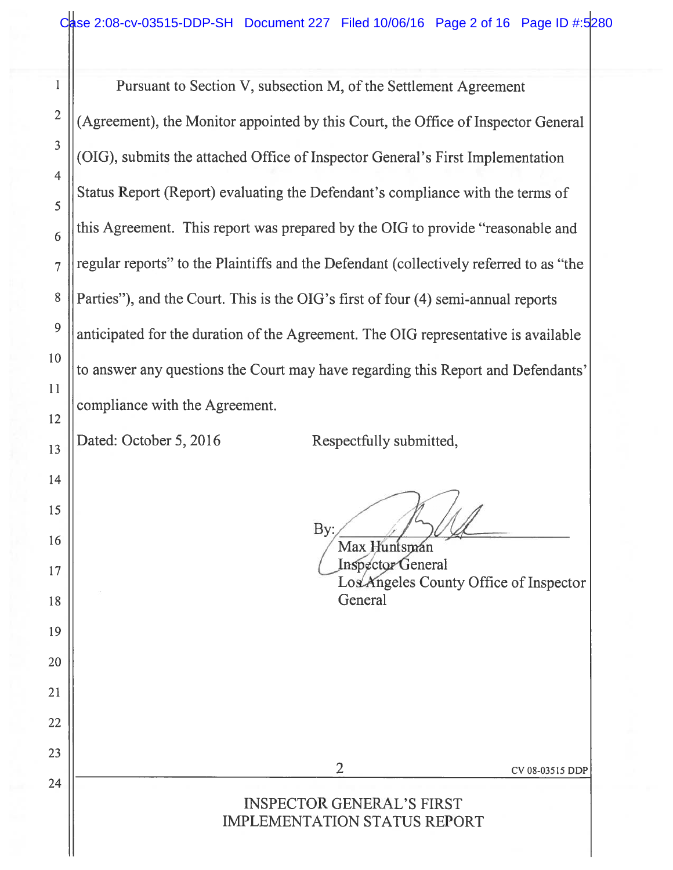<sup>1</sup> Pursuant to Section V, subsection M, of the Settlement Agreement <sup>2</sup>  $\parallel$  (Agreement), the Monitor appointed by this Court, the Office of Inspector General (OIG), submits the attached Office of Inspector General's First Implementation Status Report (Report) evaluating the Defendant's compliance with the terms of  $\mathbf{6}$  this Agreement. This report was prepared by the OIG to provide "reasonable and regular reports" to the Plaintiffs and the Defendant (collectively referred to as "the 8 | Parties"), and the Court. This is the OIG's first of four (4) semi-annual reports anticipated for the duration of the Agreement. The OIG representative is available to answer any questions the Court may have regarding this Report and Defendants' compliance with the Agreement.

3

4

5

 $\overline{7}$ 

10

9

11

12

14

15

19

20

21

22

23

24

 $\begin{array}{c|c|c|c} \hline \end{array}$  2016 Respectfully submitted,

By:

 $16 \parallel$  Max Huntsin  $\sqrt{\text{Max Hunt}}$ 17 || **Inspector General** Los Angeles County Office of Inspector 18 || General

2 CV 08-035 <sup>15</sup> DDP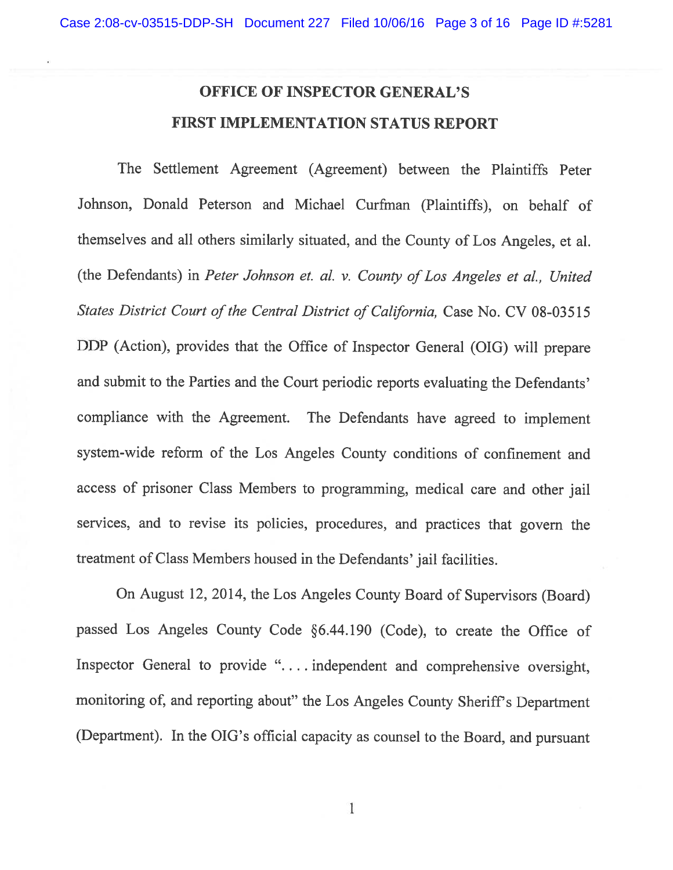## OFFICE OF INSPECTOR GENERAL'S FIRST IMPLEMENTATION STATUS REPORT

The Settlement Agreement (Agreement) between the Plaintiffs Peter Johnson, Donald Peterson and Michael Curfman (Plaintiffs), on behalf of themselves and all others similarly situated, and the County of Los Angeles, et al. (the Defendants) in Peter Johnson et. al. v. County of Los Angeles et al., United States District Court of the Central District of California, Case No. CV 08-03515 DDP (Action), provides that the Office of Inspector General (OIG) will prepare and submit to the Parties and the Court periodic reports evaluating the Defendants' compliance with the Agreement. The Defendants have agreed to implement system-wide reform of the Los Angeles County conditions of confinement and access of prisoner Class Members to programming, medical care and other jail services, and to revise its policies, procedures, and practices that govern the treatment of Class Members housed in the Defendants' jail facilities.

On August 12, 2014, the Los Angeles County Board of Supervisors (Board) passed Los Angeles County Code §6.44.190 (Code), to create the Office of Inspector General to provide ". . . . independent and comprehensive oversight, monitoring of, and reporting about" the Los Angeles County Sheriff's Department (Department). In the OIG's official capacity as counsel to the Board, and pursuant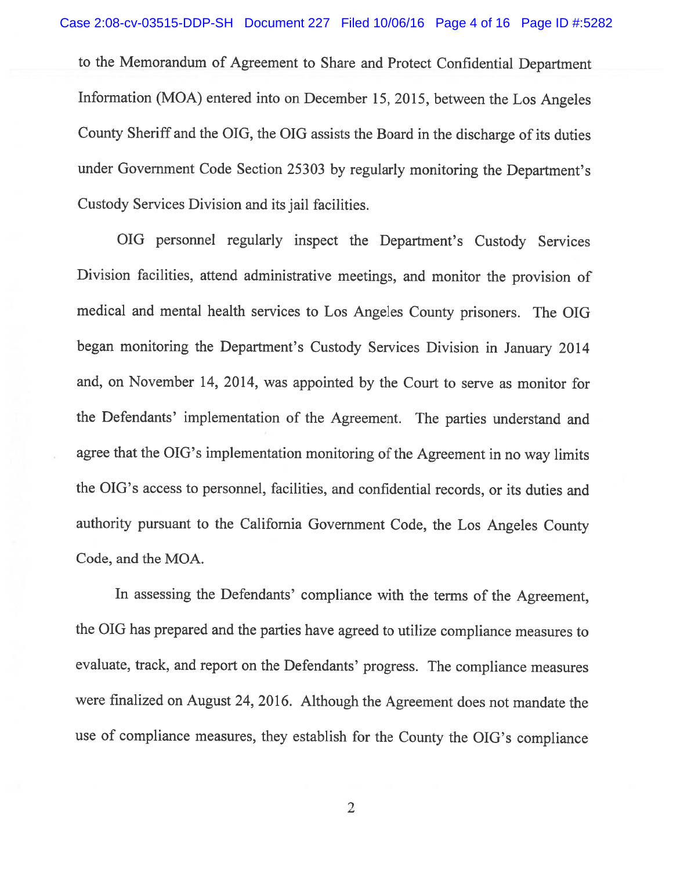to the Memorandum of Agreement to Share and Protect Confidential Department Information (MOA) entered into on December 15, 2015, between the Los Angeles County Sheriff and the OIG, the OIG assists the Board in the discharge of its duties under Government Code Section <sup>25303</sup> by regularly monitoring the Department's Custody Services Division and its jail facilities.

OIG personnel regularly inspect the Department's Custody Services Division facilities, attend administrative meetings, and monitor the provision of medical and mental health services to Los Angeles County prisoners. The OIG began monitoring the Department's Custody Services Division in January <sup>2014</sup> and, on November 14, 2014, was appointed by the Court to serve as monitor for the Defendants' implementation of the Agreement. The parties understand and agree that the OIG's implementation monitoring of the Agreement in no way limits the OIG's access to personnel, facilities, and confidential records, or its duties and authority pursuant to the California Government Code, the Los Angeles County Code, and the MOA.

In assessing the Defendants' compliance with the terms of the Agreement, the OIG has prepared and the parties have agreed to utilize compliance measures to evaluate, track, and report on the Defendants' progress. The compliance measures were finalized on August 24, 2016. Although the Agreement does not mandate the use of compliance measures, they establish for the County the OIG's compliance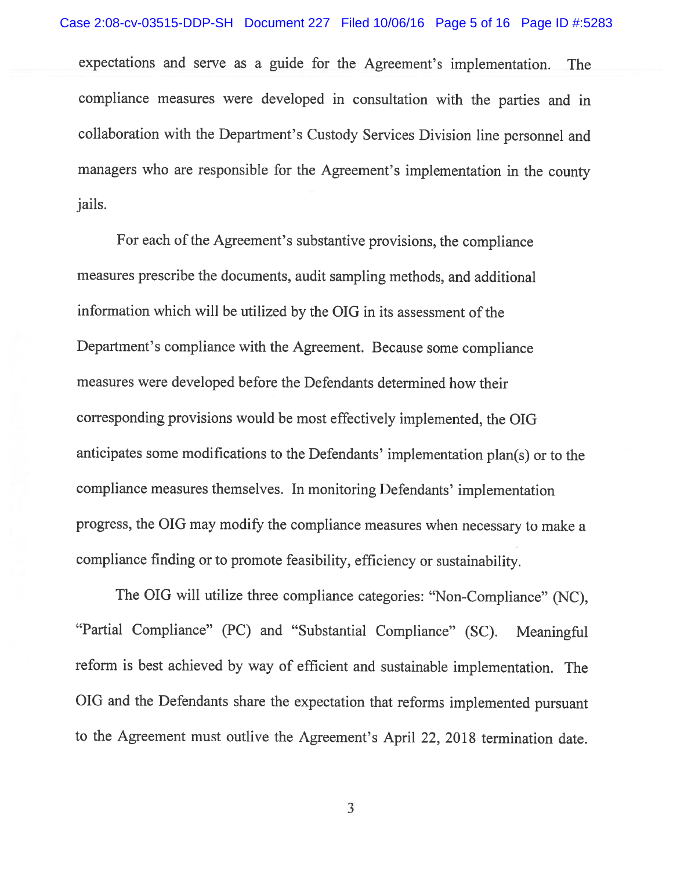expectations and serve as <sup>a</sup> guide for the Agreement's implementation. The compliance measures were developed in consultation with the parties and in collaboration with the Department's Custody Services Division line personnel and managers who are responsible for the Agreement's implementation in the county jails.

For each of the Agreement's substantive provisions, the compliance measures prescribe the documents, audit sampling methods, and additional information which will be utilized by the OIG in its assessment of the Department's compliance with the Agreement. Because some compliance measures were developed before the Defendants determined how their corresponding provisions would be most effectively implemented, the OIG anticipates some modifications to the Defendants' implementation <sup>p</sup>lan(s) or to the compliance measures themselves. In monitoring Defendants' implementation progress, the OIG may modify the compliance measures when necessary to make <sup>a</sup> compliance finding or to promote feasibility, efficiency or sustainability.

The OIG will utilize three compliance categories: "Non-Compliance" (NC), "Partial Compliance" (PC) and "Substantial Compliance" (SC). Meaningful reform is best achieved by way of efficient and sustainable implementation. The OIG and the Defendants share the expectation that reforms implemented pursuant to the Agreement must outlive the Agreement's April 22, <sup>2018</sup> termination date.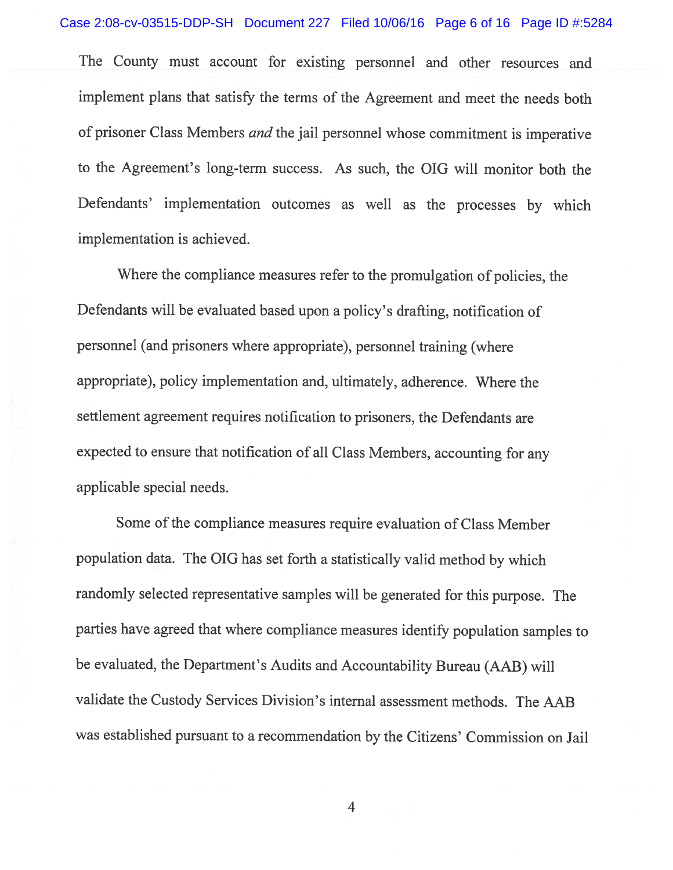The County must account for existing personnel and other resources and implement <sup>p</sup>lans that satisfy the terms of the Agreement and meet the needs both of prisoner Class Members and the jail personnel whose commitment is imperative to the Agreement's long-term success. As such, the OIG will monitor both the Defendants' implementation outcomes as well as the processes by which implementation is achieved.

Where the compliance measures refer to the promulgation of policies, the Defendants will be evaluated based upon <sup>a</sup> policy's drafting, notification of personnel (and prisoners where appropriate), personnel training (where appropriate), policy implementation and, ultimately, adherence. Where the settlement agreement requires notification to prisoners, the Defendants are expected to ensure that notification of all Class Members, accounting for any applicable special needs.

Some of the compliance measures require evaluation of Class Member population data. The OIG has set forth <sup>a</sup> statistically valid method by which randomly selected representative samples will be generated for this purpose. The parties have agreed that where compliance measures identify population samples to be evaluated, the Department's Audits and Accountability Bureau (AAB) will validate the Custody Services Division's internal assessment methods. The AAB was established pursuant to <sup>a</sup> recommendation by the Citizens' Commission on Jail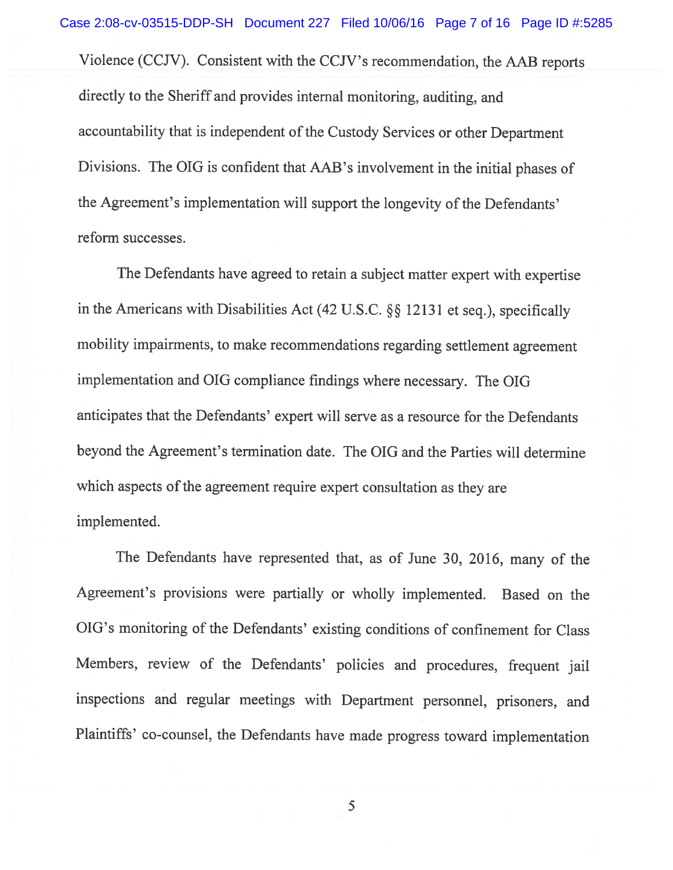Violence (CCJV). Consistent with the CCJV's recommendation, the AAB reports directly to the Sheriff and provides internal monitoring, auditing, and accountability that is independent of the Custody Services or other Department Divisions. The OIG is confident that AAB's involvement in the initial <sup>p</sup>hases of the Agreement's implementation will support the longevity of the Defendants' reform successes.

The Defendants have agreed to retain <sup>a</sup> subject matter expert with expertise in the Americans with Disabilities Act (42 U.S.C.  $\S$ § 12131 et seq.), specifically mobility impairments, to make recommendations regarding settlement agreement implementation and OIG compliance findings where necessary. The OIG anticipates that the Defendants' expert will serve as <sup>a</sup> resource for the Defendants beyond the Agreement's termination date. The OIG and the Parties will determine which aspects of the agreement require expert consultation as they are implemented.

The Defendants have represented that, as of June 30, 2016, many of the Agreement's provisions were partially or wholly implemented. Based on the OIG's monitoring of the Defendants' existing conditions of confinement for Class Members, review of the Defendants' policies and procedures, frequent jail inspections and regular meetings with Department personnel, prisoners, and Plaintiffs' co-counsel, the Defendants have made progress toward implementation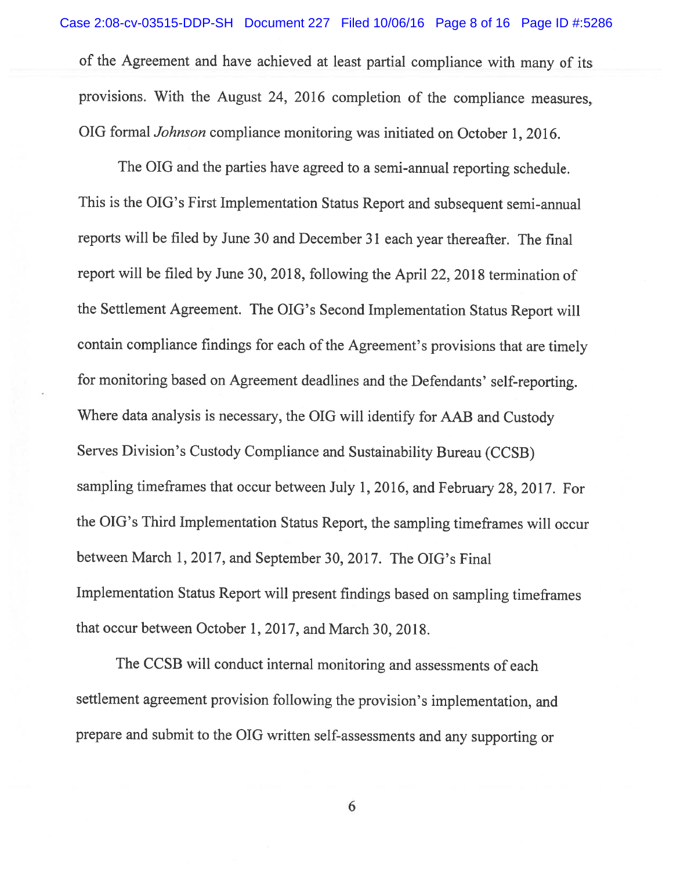of the Agreement and have achieved at least partial compliance with many of its provisions. With the August 24, <sup>2016</sup> completion of the compliance measures, OIG formal Johnson compliance monitoring was initiated on October 1, 2016. Case 2:08-cv-03515-DDP-SH Document 227 Filed 10/06/16 Page 8 of 16 Page ID #:5286

The OIG and the parties have agreed to <sup>a</sup> semi-annual reporting schedule. This is the OIG's First Implementation Status Report and subsequent semi-annual reports will be filed by June <sup>30</sup> and December <sup>31</sup> each year thereafter. The final report will be filed by June 30, 2018, following the April 22, 2018 termination of the Settlement Agreement. The OIG's Second Implementation Status Report will contain compliance findings for each of the Agreement's provisions that are timely for monitoring based on Agreement deadlines and the Defendants' self-reporting. Where data analysis is necessary, the OIG will identify for AAB and Custody Serves Division's Custody Compliance and Sustainability Bureau (CCSB) sampling timeframes that occur between July 1, 2016, and February 28, 2017. for the OIG's Third Implementation Status Report, the sampling timeframes will occur between March 1, 2017, and September 30, 2017. The OIG's Final Implementation Status Report will present findings based on sampling timeframes that occur between October 1, 2017, and March 30, 2018.

The CCSB will conduct internal monitoring and assessments of each settlement agreement provision following the provision's implementation, and prepare and submit to the OIG written self-assessments and any supporting or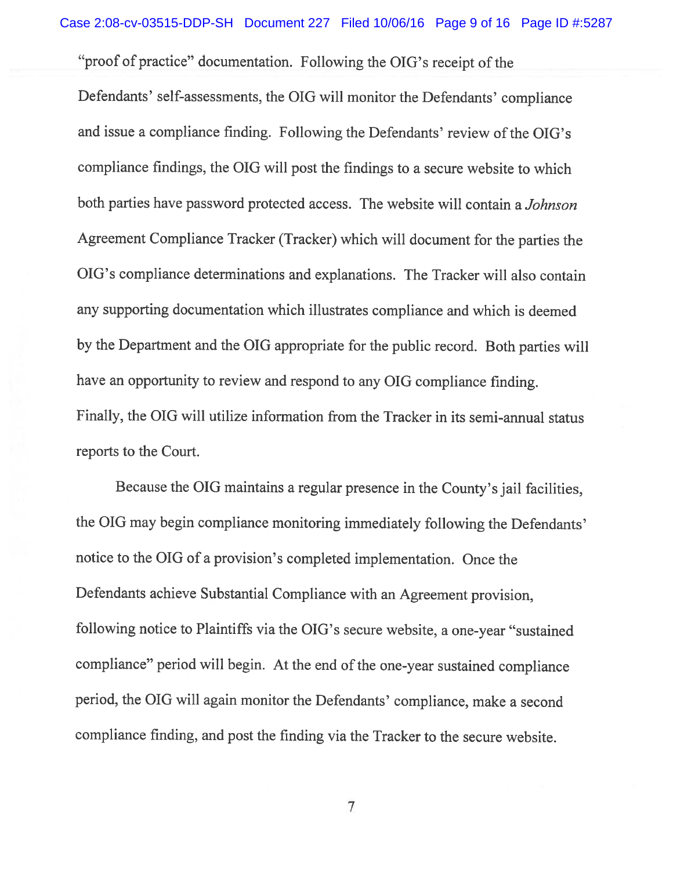"proof of practice" documentation. Following the OIG's receipt of the

Defendants' self-assessments, the OIG will monitor the Defendants' compliance and issue a compliance finding. Following the Defendants' review of the OIG's compliance findings, the OIG will post the findings to <sup>a</sup> secure website to which both parties have password protected access. The website will contain <sup>a</sup> Johnson Agreement Compliance Tracker (Tracker) which will document for the parties the OIG's compliance determinations and explanations. The Tracker will also contain any supporting documentation which illustrates compliance and which is deemed by the Department and the OIG appropriate for the public record. Both parties will have an opportunity to review and respond to any OIG compliance finding. Finally, the OIG will utilize information from the Tracker in its semi-annual status reports to the Court.

Because the OIG maintains <sup>a</sup> regular presence in the County's jail facilities, the OIG may begin compliance monitoring immediately following the Defendants' notice to the OIG of <sup>a</sup> provision's completed implementation. Once the Defendants achieve Substantial Compliance with an Agreement provision, following notice to Plaintiffs via the OIG's secure website, <sup>a</sup> one-year "sustained compliance" period will begin. At the end of the one-year sustained compliance period, the OIG will again monitor the Defendants' compliance, make <sup>a</sup> second compliance finding, and post the finding via the Tracker to the secure website.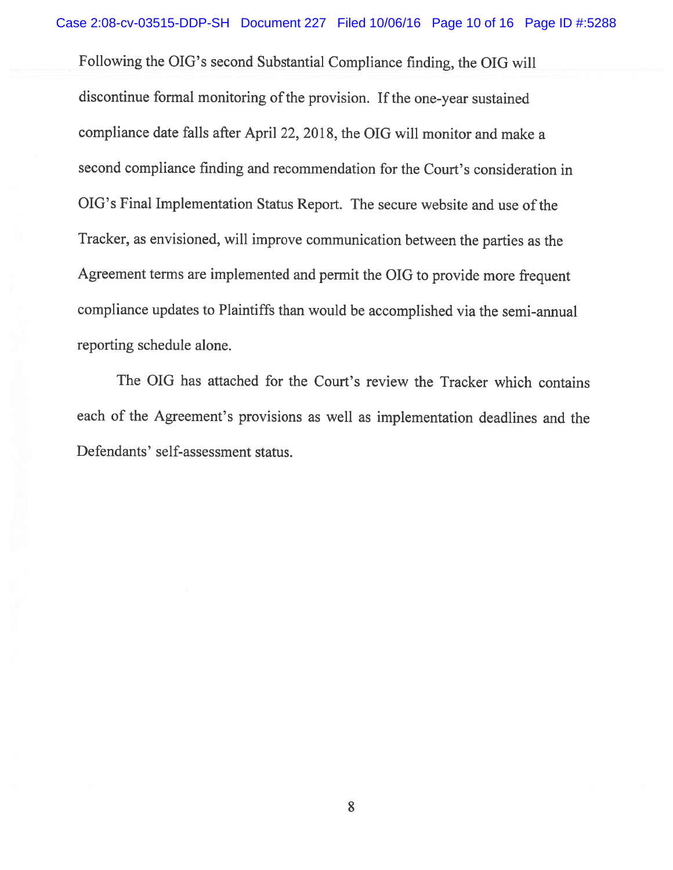Following the OIG's second Substantial Compliance finding, the OIG will discontinue formal monitoring of the provision. If the one-year sustained compliance date falls after April 22, 2018, the OIG will monitor and make <sup>a</sup> second compliance finding and recommendation for the Court's consideration in OIG's Final Implementation Status Report. The secure website and use of the Tracker, as envisioned, will improve communication between the parties as the Agreement terms are implemented and permit the OIG to provide more frequent compliance updates to Plaintiffs than would be accomplished via the semi-annual reporting schedule alone.

The OIG has attached for the Court's review the Tracker which contains each of the Agreement's provisions as well as implementation deadlines and the Defendants' self-assessment status.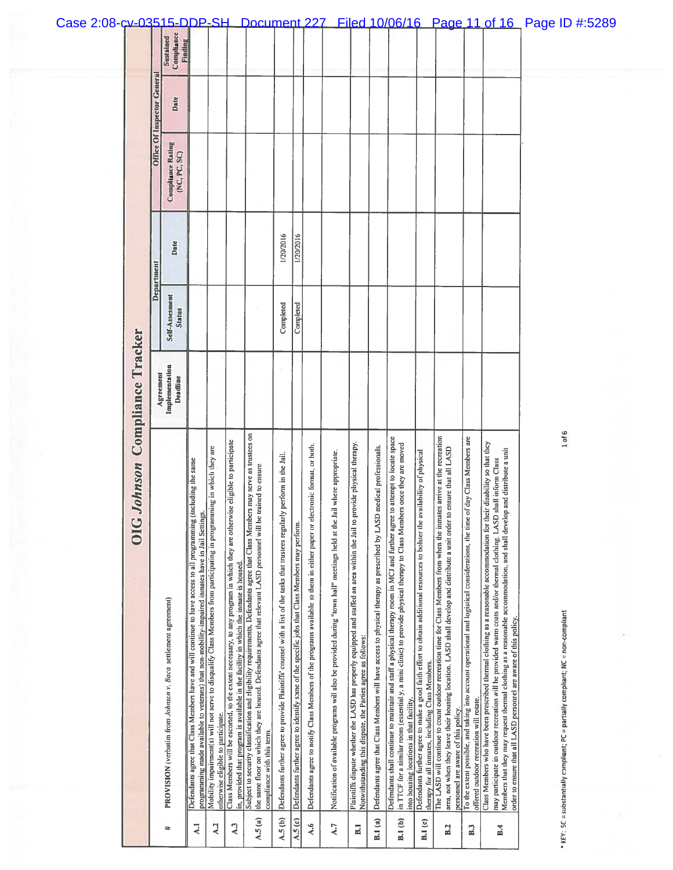| Case 2:08-cv-03515-DDP-SH |                       |                             |                                                                |                                                                                                                                                                                                                      |                                                                                                                                                             |                                                                                                                                                                                                                     | Document 227                                                                                                                                                                                                                                                                    |                                                                                                                              |                                                                                                |                                                                                                                           |                                                                                                                          |                                                                                                                                                                                           |                                                                                                                          |                                                                                                                                                                                                                                                                                                     |                                                                                                                                                                                  |                                                                                                                                                                                                                                                                                                                                                                                 |                                                                                                                                                                         | Filed 10/06/16 Page 11 of 16                                                                                                                                                                                                                                                                                                                                                                                                                | Page ID #:5289                                                                            |
|---------------------------|-----------------------|-----------------------------|----------------------------------------------------------------|----------------------------------------------------------------------------------------------------------------------------------------------------------------------------------------------------------------------|-------------------------------------------------------------------------------------------------------------------------------------------------------------|---------------------------------------------------------------------------------------------------------------------------------------------------------------------------------------------------------------------|---------------------------------------------------------------------------------------------------------------------------------------------------------------------------------------------------------------------------------------------------------------------------------|------------------------------------------------------------------------------------------------------------------------------|------------------------------------------------------------------------------------------------|---------------------------------------------------------------------------------------------------------------------------|--------------------------------------------------------------------------------------------------------------------------|-------------------------------------------------------------------------------------------------------------------------------------------------------------------------------------------|--------------------------------------------------------------------------------------------------------------------------|-----------------------------------------------------------------------------------------------------------------------------------------------------------------------------------------------------------------------------------------------------------------------------------------------------|----------------------------------------------------------------------------------------------------------------------------------------------------------------------------------|---------------------------------------------------------------------------------------------------------------------------------------------------------------------------------------------------------------------------------------------------------------------------------------------------------------------------------------------------------------------------------|-------------------------------------------------------------------------------------------------------------------------------------------------------------------------|---------------------------------------------------------------------------------------------------------------------------------------------------------------------------------------------------------------------------------------------------------------------------------------------------------------------------------------------------------------------------------------------------------------------------------------------|-------------------------------------------------------------------------------------------|
|                           |                       |                             | Compliance<br>Sustained<br>Finding                             |                                                                                                                                                                                                                      |                                                                                                                                                             |                                                                                                                                                                                                                     |                                                                                                                                                                                                                                                                                 |                                                                                                                              |                                                                                                |                                                                                                                           |                                                                                                                          |                                                                                                                                                                                           |                                                                                                                          |                                                                                                                                                                                                                                                                                                     |                                                                                                                                                                                  |                                                                                                                                                                                                                                                                                                                                                                                 |                                                                                                                                                                         |                                                                                                                                                                                                                                                                                                                                                                                                                                             |                                                                                           |
|                           |                       | Office Of Inspector General | Date                                                           |                                                                                                                                                                                                                      |                                                                                                                                                             |                                                                                                                                                                                                                     |                                                                                                                                                                                                                                                                                 |                                                                                                                              |                                                                                                |                                                                                                                           |                                                                                                                          |                                                                                                                                                                                           |                                                                                                                          |                                                                                                                                                                                                                                                                                                     |                                                                                                                                                                                  |                                                                                                                                                                                                                                                                                                                                                                                 |                                                                                                                                                                         |                                                                                                                                                                                                                                                                                                                                                                                                                                             |                                                                                           |
|                           |                       |                             | <b>Compliance Rating</b><br>(NC, PC, SC)                       |                                                                                                                                                                                                                      |                                                                                                                                                             |                                                                                                                                                                                                                     |                                                                                                                                                                                                                                                                                 |                                                                                                                              |                                                                                                |                                                                                                                           |                                                                                                                          |                                                                                                                                                                                           |                                                                                                                          |                                                                                                                                                                                                                                                                                                     |                                                                                                                                                                                  |                                                                                                                                                                                                                                                                                                                                                                                 |                                                                                                                                                                         |                                                                                                                                                                                                                                                                                                                                                                                                                                             |                                                                                           |
|                           |                       | Department                  | Date                                                           |                                                                                                                                                                                                                      |                                                                                                                                                             |                                                                                                                                                                                                                     |                                                                                                                                                                                                                                                                                 | 1/20/2016                                                                                                                    | 1/20/2016                                                                                      |                                                                                                                           |                                                                                                                          |                                                                                                                                                                                           |                                                                                                                          |                                                                                                                                                                                                                                                                                                     |                                                                                                                                                                                  |                                                                                                                                                                                                                                                                                                                                                                                 |                                                                                                                                                                         |                                                                                                                                                                                                                                                                                                                                                                                                                                             |                                                                                           |
|                           |                       |                             | Self-Assesment<br><b>Status</b>                                |                                                                                                                                                                                                                      |                                                                                                                                                             |                                                                                                                                                                                                                     |                                                                                                                                                                                                                                                                                 | Completed                                                                                                                    | Completed                                                                                      |                                                                                                                           |                                                                                                                          |                                                                                                                                                                                           |                                                                                                                          |                                                                                                                                                                                                                                                                                                     |                                                                                                                                                                                  |                                                                                                                                                                                                                                                                                                                                                                                 |                                                                                                                                                                         |                                                                                                                                                                                                                                                                                                                                                                                                                                             |                                                                                           |
|                           | Compliance Tracker    |                             | Agreement<br>Implementation<br>Deadline                        |                                                                                                                                                                                                                      |                                                                                                                                                             |                                                                                                                                                                                                                     |                                                                                                                                                                                                                                                                                 |                                                                                                                              |                                                                                                |                                                                                                                           |                                                                                                                          |                                                                                                                                                                                           |                                                                                                                          |                                                                                                                                                                                                                                                                                                     |                                                                                                                                                                                  |                                                                                                                                                                                                                                                                                                                                                                                 |                                                                                                                                                                         |                                                                                                                                                                                                                                                                                                                                                                                                                                             |                                                                                           |
|                           | Johnson<br><b>DIC</b> |                             | PROVISION (verbatim from Johnson v. Baca settlement agreement) | Defendants agree that Class Members have and will continue to have access to all programming (including the same<br>programming made available to veterans) that non-mobility-impaired inmates have in Jail Settings | Mobility impairment(s) will not serve to disqualify Class Members from participating in programming in which they are<br>otherwise eligible to participate. | Class Members will be escorted, to the extent necessary, to any program in which they are otherwise eligible to participate<br>in, provided that program is available in the facility in which the inmate is housed | Subject to security classification and eligibility requirements, Defendants agree that Class Members may serve as trustees on<br>the same floor on which they are housed. Defendants agree that relevant LASD personnel will be trained to ensure<br>compliance with this term. | Defendants further agree to provide Plaintiffs' counsel with a list of the tasks that trustees regularly perform in the Jail | Defendants further agree to identify some of the specific jobs that Class Members may perform. | Defendants agree to notify Class Members of the programs available to them in either paper or electronic format, or both, | Notification of available programs will also be provided during "town hall" meetings held at the Jail where appropriate. | Plaintiffs dispute whether the LASD has properly equipped and staffed an area within the Jail to provide physical therapy.<br>Notwithstanding this dispute, the Parties agree as follows: | medical professionals.<br>Defendants agree that Class Members will have access to physical therapy as prescribed by LASD | Defendants shall continue to maintain and staff a physical therapy room in MCJ and further agree to attempt to locate space<br>in TTCF for a similar room (essentially, a mini clinic) to provide physical therapy to Class Members once they are moved<br>into housing locations in that facility. | Defendants further agree to make a good faith effort to obtain additional resources to bolster the availability of physical<br>therapy for all inmates, including Class Members. | The LASD will continue to count outdoor recreation time for Class Members from when the inmates arrive at the recreation<br>area, not when they leave their housing location. LASD shall develop and distribute a unit order to e<br>area, not when they leave their housing location. LASD shall develop and distribute a unit order to<br>personnel are aware of this policy. | To the extent possible, and taking into account operational and logistical considerations, the time of day Class Members are<br>offered outdoor recreation will rotate. | Class Members who have been prescribed thermal clothing as a reasonable accommodation for their disability so that they<br>Members that they may request thermal clothing as a reasonable accommodation, and shall develop and distribute a unit<br>may participate in outdoor recreation will be provided warm coats and/or thermal clothing. LASD shall inform Class<br>order to ensure that all LASD personnel are aware of this policy. | 1 of 6<br>KEY: SC = substantially compliant; PC = partially compliant; NC = non-compliant |
|                           |                       |                             | ∗                                                              | $\overline{a}$                                                                                                                                                                                                       | $\lambda$ <sub>2</sub>                                                                                                                                      | $\lambda$ <sub>3</sub>                                                                                                                                                                                              | A.5(a)                                                                                                                                                                                                                                                                          | A.5(b)                                                                                                                       | A.5(c)                                                                                         | $\lambda.6$                                                                                                               | A.7                                                                                                                      | $\overline{a}$                                                                                                                                                                            | <b>B.1</b> (a)                                                                                                           | B.I (b)                                                                                                                                                                                                                                                                                             | B.1(c)                                                                                                                                                                           | B.2                                                                                                                                                                                                                                                                                                                                                                             | B.3                                                                                                                                                                     | B.4                                                                                                                                                                                                                                                                                                                                                                                                                                         |                                                                                           |

Ø.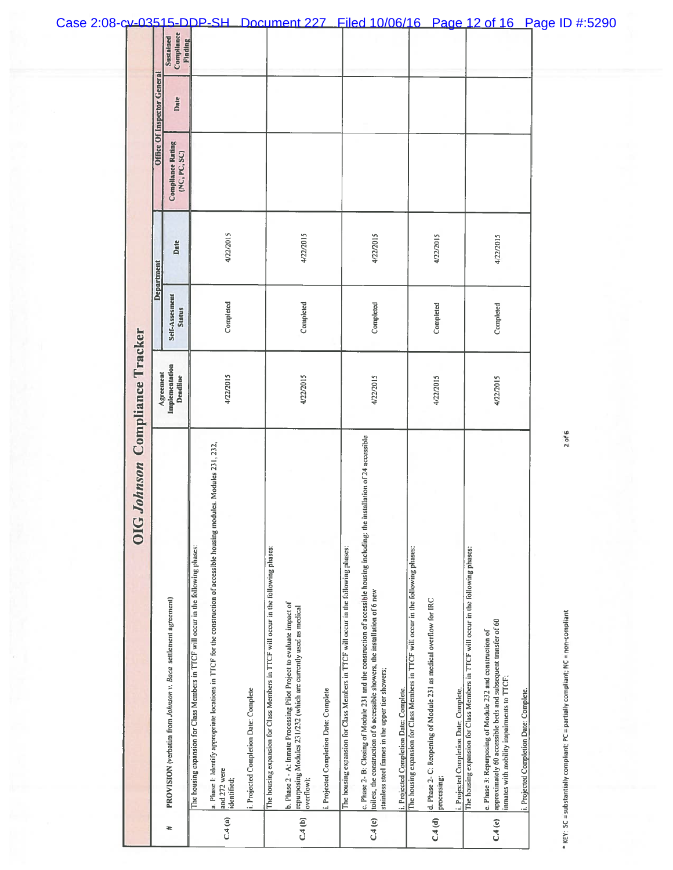|        | G Johnson Compliance Tracker<br>$\breve{\mathbf{5}}$                                                                                                                                                                                                              |                            |                          |            |                                          |                             |                                           |
|--------|-------------------------------------------------------------------------------------------------------------------------------------------------------------------------------------------------------------------------------------------------------------------|----------------------------|--------------------------|------------|------------------------------------------|-----------------------------|-------------------------------------------|
|        |                                                                                                                                                                                                                                                                   | Agreement                  |                          | Department |                                          | Office Of Inspector General |                                           |
| æ      | PROVISION (verbatim from Johnson v. Baca settlement agreement)                                                                                                                                                                                                    | Implementation<br>Deadline | Self-Assesment<br>Status | Date       | <b>Compliance Rating</b><br>(NC, PC, SC) | Date                        | Compliance<br><b>Finding</b><br>Sustained |
|        | The housing expansion for Class Members in TTCF will occur in the following phases:                                                                                                                                                                               |                            |                          |            |                                          |                             |                                           |
| C.4(a) | a. Phase 1: Identify appropriate locations in TTCF for the construction of accessible housing modules. Modules 231, 232,<br>and 272 were<br>identified;                                                                                                           | 4/22/2015                  | Completed                | 4/22/2015  |                                          |                             |                                           |
|        | i. Projected Completion Date: Complete                                                                                                                                                                                                                            |                            |                          |            |                                          |                             |                                           |
|        | The housing expansion for Class Members in TTCF will occur in the following phases:                                                                                                                                                                               |                            |                          |            |                                          |                             |                                           |
| C.4(b) | b. Plase 2 - A: Inmate Processing Pilot Project to evaluate impact of<br>repurposing Modules 231/232 (which are currently used as medical<br>overflow);                                                                                                           | 4/22/2015                  | Completed                | 4/22/2015  |                                          |                             |                                           |
|        | i. Projected Completion Date: Complete                                                                                                                                                                                                                            |                            |                          |            |                                          |                             |                                           |
|        | The housing expansion for Class Members in TTCF will occur in the following phases:                                                                                                                                                                               |                            |                          |            |                                          |                             |                                           |
| C.4(c) | c. Phase 2- B: Closing of Module 231 and the construction of accessible housing including: the installation of 24 accessible<br>toilets, the construction of 6 accessible showers, the installation of 6 new<br>stainless steel frames in the upper tier showers; | 4/22/2015                  | Completed                | 4/22/2015  |                                          |                             |                                           |
|        | i. Projected Completion Date: Complete.                                                                                                                                                                                                                           |                            |                          |            |                                          |                             |                                           |
|        | The housing expansion for Class Members in TTCF will occur in the following phases:                                                                                                                                                                               |                            |                          |            |                                          |                             |                                           |
| C.4(d) | d. Phase 2- C: Reopening of Module 231 as medical overflow for IRC<br>processing;                                                                                                                                                                                 | 4/22/2015                  | Completed                | 4/22/2015  |                                          |                             |                                           |
|        | i. Projected Completion Date: Complete.                                                                                                                                                                                                                           |                            |                          |            |                                          |                             |                                           |
|        | The housing expansion for Class Members in TTCF will occur in the following phases:                                                                                                                                                                               |                            |                          |            |                                          |                             |                                           |
| C.4(e) | approximately 60 accessible beds and subsequent transfer of 60<br>e. Phase 3: Repurposing of Module 232 and construction of<br>inmates with mobility impairments to TTCF;                                                                                         | 4/22/2015                  | Completed                | 4/22/2015  |                                          |                             |                                           |
|        | i. Projected Completion Date: Complete.                                                                                                                                                                                                                           |                            |                          |            |                                          |                             |                                           |
|        | $2$ of 6<br>* KEY: SC = substantially compliant; PC = partially compliant; NC = non-compliant                                                                                                                                                                     |                            |                          |            |                                          |                             |                                           |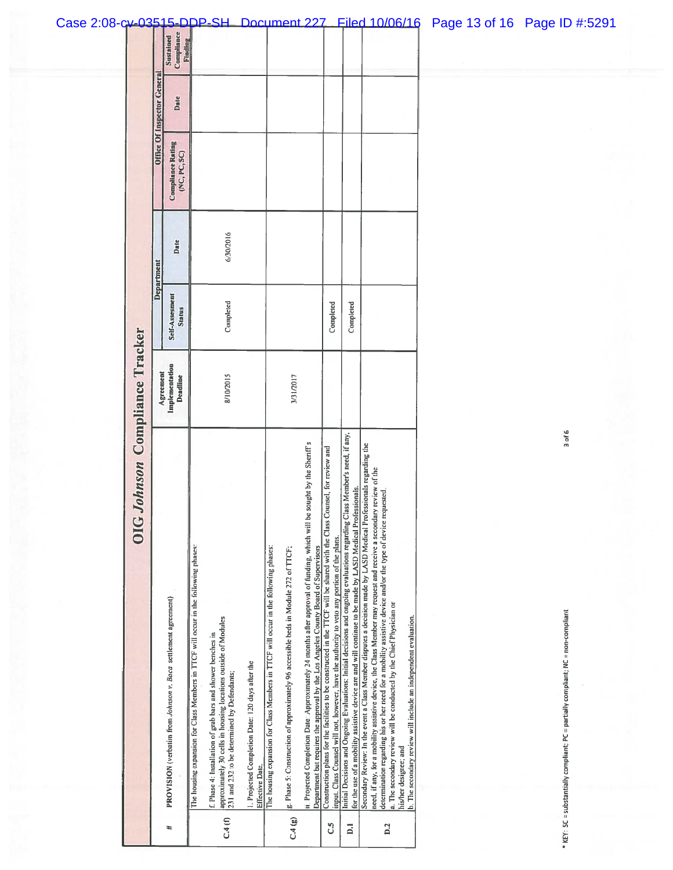|                | GJohnson Compliance Tracker                                                                                                                                                                                                                                                                                                                                                                                                      |                            |                                 |            |                                          |                             |                                    |
|----------------|----------------------------------------------------------------------------------------------------------------------------------------------------------------------------------------------------------------------------------------------------------------------------------------------------------------------------------------------------------------------------------------------------------------------------------|----------------------------|---------------------------------|------------|------------------------------------------|-----------------------------|------------------------------------|
|                |                                                                                                                                                                                                                                                                                                                                                                                                                                  | Agreement                  |                                 | Department |                                          | Office Of Inspector General |                                    |
| ᅕ              | PROVISION (verbatim from Johnson v. Baca settlement agreement)                                                                                                                                                                                                                                                                                                                                                                   | Implementation<br>Deadline | Self-Assesment<br><b>Status</b> | Date       | <b>Compliance Rating</b><br>(NC, PC, SC) | Date                        | Compliance<br>Sustained<br>Finding |
|                | The housing expansion for Class Members in TTCF will occur in the following phases:                                                                                                                                                                                                                                                                                                                                              |                            |                                 |            |                                          |                             |                                    |
| C.4(0)         | approximately 30 cells in housing locations outside of Modules<br>f. Phase 4: Installation of grab bars and shower benches in<br>231 and 232 to be determined by Defendants;                                                                                                                                                                                                                                                     | 8/10/2015                  | Completed                       | 6/30/2016  |                                          |                             |                                    |
|                | 1. Projected Completion Date: 120 days after the<br>Effective Date.                                                                                                                                                                                                                                                                                                                                                              |                            |                                 |            |                                          |                             |                                    |
|                | The housing expansion for Class Members in TTCF will occur in the following phases:                                                                                                                                                                                                                                                                                                                                              |                            |                                 |            |                                          |                             |                                    |
| C.4(g)         | [g. Phase 5: Construction of approximately 96 accessible beds in Module 272 of TTCF;                                                                                                                                                                                                                                                                                                                                             | 3/31/2017                  |                                 |            |                                          |                             |                                    |
|                | be sought by the Sheriff's<br>ii. Projected Completion Date: Approximately 24 months after approval of funding, which will<br>Department but requires the approval by the Los Angeles County Board of Supervisors                                                                                                                                                                                                                |                            |                                 |            |                                          |                             |                                    |
| د.<br>ن        | Counsel, for review and<br>Construction plans for the facilities to be constructed in the TTCF will be shared with the Class<br>input. Class Counsel will not, however, have the authority to veto any portion of the plans.                                                                                                                                                                                                     |                            | Completed                       |            |                                          |                             |                                    |
| $\overline{a}$ | Class Member's need, if any,<br>for the use of a mobility assistive device are and will continue to be made by LASD Medical Professionals.<br>Initial Decisions and Ongoing Evaluations: Initial decisions and ongoing evaluations regarding                                                                                                                                                                                     |                            | Completed                       |            |                                          |                             |                                    |
| D.2            | Secondary Review: In the event a Class Member disputes a decision made by LASD Medical Professionals regarding the<br>need, if any, for a mobility assistive device, the Class Member may request and receive a secondary review of the<br>requested<br>determination regarding his or her need for a mobility assistive device and/or the type of device<br>a. The secondary review will be conducted by the Chief Physician or |                            |                                 |            |                                          |                             |                                    |
|                | b. The secondary review will include an independent evaluation.<br>his/her designee; and                                                                                                                                                                                                                                                                                                                                         |                            |                                 |            |                                          |                             |                                    |
|                |                                                                                                                                                                                                                                                                                                                                                                                                                                  |                            |                                 |            |                                          |                             |                                    |

\* KEY: SC = substantially compliant; PC = partially compliant; NC = non-compliant 3 of 6 \* KEY: SC = substantially compliant; PC = partially compliant; NC = non-compliant

3 of 6

## Case 2:08-cv-03515-DDP-SH Document 227 Filed 10/06/16 Page 13 of 16 Page ID #:5291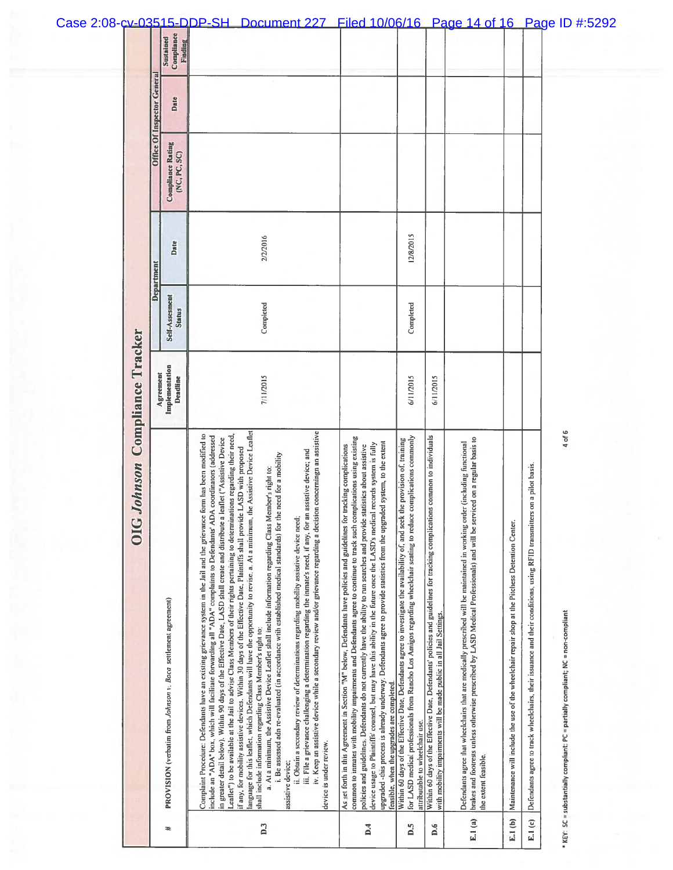|                            | Johnson Compliance Tracker<br><b>DIC</b>                                                                                                                                                                                                                                                                                                                                                                                                                                                                                                                                                                                                                                                                                                                                                                                                                                                                                                                                                                                                                                                                                                                                                                                                                                                                                                                                                                                                                                              |                            |                                 |            |                                          |                             |                                           |
|----------------------------|---------------------------------------------------------------------------------------------------------------------------------------------------------------------------------------------------------------------------------------------------------------------------------------------------------------------------------------------------------------------------------------------------------------------------------------------------------------------------------------------------------------------------------------------------------------------------------------------------------------------------------------------------------------------------------------------------------------------------------------------------------------------------------------------------------------------------------------------------------------------------------------------------------------------------------------------------------------------------------------------------------------------------------------------------------------------------------------------------------------------------------------------------------------------------------------------------------------------------------------------------------------------------------------------------------------------------------------------------------------------------------------------------------------------------------------------------------------------------------------|----------------------------|---------------------------------|------------|------------------------------------------|-----------------------------|-------------------------------------------|
|                            |                                                                                                                                                                                                                                                                                                                                                                                                                                                                                                                                                                                                                                                                                                                                                                                                                                                                                                                                                                                                                                                                                                                                                                                                                                                                                                                                                                                                                                                                                       | Agreement                  |                                 | Department |                                          | Office Of Inspector General |                                           |
| ヰ                          | PROVISION (verbatim from Johnson v. Baca settlement agreement)                                                                                                                                                                                                                                                                                                                                                                                                                                                                                                                                                                                                                                                                                                                                                                                                                                                                                                                                                                                                                                                                                                                                                                                                                                                                                                                                                                                                                        | Implementation<br>Deadline | Self-Assesment<br><b>Status</b> | Date       | <b>Compliance Rating</b><br>(NC, PC, SC) | Date                        | Compliance<br>Sustained<br><b>Finding</b> |
| $\overline{D}$             | language for this leaflet, which Defendants will have the opportunity to revise, a. At a minimum, the Assistive Device Leaflet<br>iv. Keep an assistive device while a secondary review and/or grievance regarding a decision concerningn an assistive<br>Complaint Procedure: Defendants have an existing grievance system in the Jail and the grievance form has been modified to<br>Leaflet") to be available at the Jail to advise Class Members of their rights pertaining to determinations regarding their need,<br>include an "ADA" box, which will facilitate forwarding all "ADA" complaints to Defendants' ADA coordinators (addressed<br>in greater detail below). Within 90 days of the Effective Date, LASD shall create and distribute a leaflet ("Assistive Device<br>if any, for mobility assistive devices. Within 30 days of the Effective Date, Plaintiffs shall provide LASD with proposed<br>an assistive device; and<br>i. Be assessed adn re-evaluated (in accordance with established medical standards) for the need for a mobility<br>a. At a minimum, the Assistive Device Leaflet shall include information regarding Class Member's right to:<br>ii. Obtain a secondary review of determinations regarding mobility assistive device need<br>iii. File a grievance challenging a determination regarding the inmate's need, if any, for<br>shall include information regarding Class Member's right to:<br>device is under review.<br>assistive device: | 7/11/2015                  | Completed                       | 2/2/2016   |                                          |                             |                                           |
| $\overline{\mathbf{D}}$ .4 | common to inmates with mobility impairments and Defendants agree to continue to track such complications using existing<br>upgraded -this process is already underway. Defendants agree to provide statistics from the upgraded system, to the extent<br>device usage to Plaintiffs' counsel, but may have this ability in the future once the LASD's medical records system is fully<br>policies and guidelines. Defendants do not currently have the ability to run searches and provide statistics about assistive<br>As set forth in this Agreement in Section "M" below, Defendants have policies and guidelines for tracking complications<br>feasible, when the upgrades are completed.                                                                                                                                                                                                                                                                                                                                                                                                                                                                                                                                                                                                                                                                                                                                                                                        |                            |                                 |            |                                          |                             |                                           |
| D.5                        | for LASD medical professionals from Rancho Los Amigos regarding wheelchair seating to reduce complications commonly<br>Within 60 days of the Effective Date, Defendants agree to investigate the availability of, and seek the provision of, training<br>attributable to wheelchair use.                                                                                                                                                                                                                                                                                                                                                                                                                                                                                                                                                                                                                                                                                                                                                                                                                                                                                                                                                                                                                                                                                                                                                                                              | 6/11/2015                  | Completed                       | 12/8/2015  |                                          |                             |                                           |
| $\overline{D}$ .6          | Within 60 days of the Effective Date, Defendants' policies and guidelines for tracking complications common to individuals<br>with mobility impairments will be made public in all Jail Settings.                                                                                                                                                                                                                                                                                                                                                                                                                                                                                                                                                                                                                                                                                                                                                                                                                                                                                                                                                                                                                                                                                                                                                                                                                                                                                     | 6/11/2015                  |                                 |            |                                          |                             |                                           |
| E.1 $(a)$                  | brakes and footrests unless otherwise prescribed by LASD Medical Professionals) and will be serviced on a regular basis to<br>Defendants agree that wheelchairs that are medically prescribed will be maintained in working order (including functional<br>the extent feasible.                                                                                                                                                                                                                                                                                                                                                                                                                                                                                                                                                                                                                                                                                                                                                                                                                                                                                                                                                                                                                                                                                                                                                                                                       |                            |                                 |            |                                          |                             |                                           |
| E.1(b)                     | Maintenance will include the use of the wheelchair repair shop at the Pitchess Detention Center.                                                                                                                                                                                                                                                                                                                                                                                                                                                                                                                                                                                                                                                                                                                                                                                                                                                                                                                                                                                                                                                                                                                                                                                                                                                                                                                                                                                      |                            |                                 |            |                                          |                             |                                           |
| E.1(c)                     | Defendants agree to track wheelchairs, their issuance and their conditions, using RFID transmitters on a pilot basis.                                                                                                                                                                                                                                                                                                                                                                                                                                                                                                                                                                                                                                                                                                                                                                                                                                                                                                                                                                                                                                                                                                                                                                                                                                                                                                                                                                 |                            |                                 |            |                                          |                             |                                           |
|                            | 4 of 6<br>* KEY: SC = substantially compliant; PC = partially compliant; NC = non-compliant                                                                                                                                                                                                                                                                                                                                                                                                                                                                                                                                                                                                                                                                                                                                                                                                                                                                                                                                                                                                                                                                                                                                                                                                                                                                                                                                                                                           |                            |                                 |            |                                          |                             |                                           |

## Case 2:08-cv-03515-DDP-SH Document 227 Filed 10/06/16 Page 14 of 16 Page ID #:5292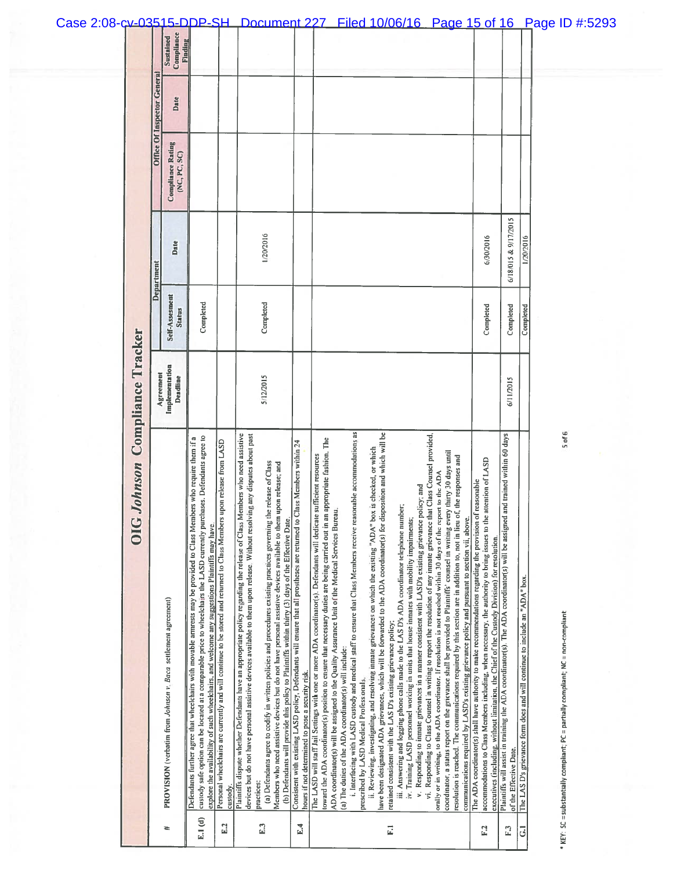|                       |                             | Compliance<br>Sustained<br>Finding                             | 2:08-cv-03515-DDP-SH                                                                                                                                                                                                                                                                                                                                  |                                                                                                                                    |                                                                                                                                                                                                                                                            | Document 227                                                                                                                                                                                                                                                                                                                                                  |                                                                                                                                                                                  |                                                                                                                                                                                                                                                                                                                                                                                                                                                                                                                                                  | <u>Filed 10/06/16</u>                                                                                                                                                                                                                                                                                                                                                                                                                                          |                                                                                                                                                                                                                                                                                                                                | Page 15 of 16                                                                                                                                                                                                                                                                                                                                                                                                                                                                     |                                                                                                                                                                                                                                                                                                                                 |                                                                                                                                                         |                                                                            | <u>P</u> age ID #:5293 |                                                                                                 |
|-----------------------|-----------------------------|----------------------------------------------------------------|-------------------------------------------------------------------------------------------------------------------------------------------------------------------------------------------------------------------------------------------------------------------------------------------------------------------------------------------------------|------------------------------------------------------------------------------------------------------------------------------------|------------------------------------------------------------------------------------------------------------------------------------------------------------------------------------------------------------------------------------------------------------|---------------------------------------------------------------------------------------------------------------------------------------------------------------------------------------------------------------------------------------------------------------------------------------------------------------------------------------------------------------|----------------------------------------------------------------------------------------------------------------------------------------------------------------------------------|--------------------------------------------------------------------------------------------------------------------------------------------------------------------------------------------------------------------------------------------------------------------------------------------------------------------------------------------------------------------------------------------------------------------------------------------------------------------------------------------------------------------------------------------------|----------------------------------------------------------------------------------------------------------------------------------------------------------------------------------------------------------------------------------------------------------------------------------------------------------------------------------------------------------------------------------------------------------------------------------------------------------------|--------------------------------------------------------------------------------------------------------------------------------------------------------------------------------------------------------------------------------------------------------------------------------------------------------------------------------|-----------------------------------------------------------------------------------------------------------------------------------------------------------------------------------------------------------------------------------------------------------------------------------------------------------------------------------------------------------------------------------------------------------------------------------------------------------------------------------|---------------------------------------------------------------------------------------------------------------------------------------------------------------------------------------------------------------------------------------------------------------------------------------------------------------------------------|---------------------------------------------------------------------------------------------------------------------------------------------------------|----------------------------------------------------------------------------|------------------------|-------------------------------------------------------------------------------------------------|
|                       | Office Of Inspector General | Date                                                           |                                                                                                                                                                                                                                                                                                                                                       |                                                                                                                                    |                                                                                                                                                                                                                                                            |                                                                                                                                                                                                                                                                                                                                                               |                                                                                                                                                                                  |                                                                                                                                                                                                                                                                                                                                                                                                                                                                                                                                                  |                                                                                                                                                                                                                                                                                                                                                                                                                                                                |                                                                                                                                                                                                                                                                                                                                |                                                                                                                                                                                                                                                                                                                                                                                                                                                                                   |                                                                                                                                                                                                                                                                                                                                 |                                                                                                                                                         |                                                                            |                        |                                                                                                 |
|                       |                             | <b>Compliance Rating</b><br>(NC, PC, SC)                       |                                                                                                                                                                                                                                                                                                                                                       |                                                                                                                                    |                                                                                                                                                                                                                                                            |                                                                                                                                                                                                                                                                                                                                                               |                                                                                                                                                                                  |                                                                                                                                                                                                                                                                                                                                                                                                                                                                                                                                                  |                                                                                                                                                                                                                                                                                                                                                                                                                                                                |                                                                                                                                                                                                                                                                                                                                |                                                                                                                                                                                                                                                                                                                                                                                                                                                                                   |                                                                                                                                                                                                                                                                                                                                 |                                                                                                                                                         |                                                                            |                        |                                                                                                 |
|                       | Department                  | Date                                                           |                                                                                                                                                                                                                                                                                                                                                       |                                                                                                                                    |                                                                                                                                                                                                                                                            | 1/20/2016                                                                                                                                                                                                                                                                                                                                                     |                                                                                                                                                                                  |                                                                                                                                                                                                                                                                                                                                                                                                                                                                                                                                                  |                                                                                                                                                                                                                                                                                                                                                                                                                                                                |                                                                                                                                                                                                                                                                                                                                |                                                                                                                                                                                                                                                                                                                                                                                                                                                                                   | 6/30/2016                                                                                                                                                                                                                                                                                                                       | 6/18/015 & 9/17/2015                                                                                                                                    | 1/20/2016                                                                  |                        |                                                                                                 |
|                       |                             | Self-Assesment<br><b>Status</b>                                | Completed                                                                                                                                                                                                                                                                                                                                             |                                                                                                                                    |                                                                                                                                                                                                                                                            | Completed                                                                                                                                                                                                                                                                                                                                                     |                                                                                                                                                                                  |                                                                                                                                                                                                                                                                                                                                                                                                                                                                                                                                                  |                                                                                                                                                                                                                                                                                                                                                                                                                                                                |                                                                                                                                                                                                                                                                                                                                |                                                                                                                                                                                                                                                                                                                                                                                                                                                                                   | Completed                                                                                                                                                                                                                                                                                                                       | Completed                                                                                                                                               | Completed                                                                  |                        |                                                                                                 |
| Compliance Tracker    | Agreement                   | Implementation<br>Deadline                                     |                                                                                                                                                                                                                                                                                                                                                       |                                                                                                                                    |                                                                                                                                                                                                                                                            | 5/12/2015                                                                                                                                                                                                                                                                                                                                                     |                                                                                                                                                                                  |                                                                                                                                                                                                                                                                                                                                                                                                                                                                                                                                                  |                                                                                                                                                                                                                                                                                                                                                                                                                                                                |                                                                                                                                                                                                                                                                                                                                |                                                                                                                                                                                                                                                                                                                                                                                                                                                                                   |                                                                                                                                                                                                                                                                                                                                 | 6/11/2015                                                                                                                                               |                                                                            |                        |                                                                                                 |
| Johnson<br><b>OIG</b> |                             | PROVISION (verbatim from Johnson v. Baca settlement agreement) | custody safe option can be located at a comparable price to wheelchairs the LASD currently purchases. Defendants agree to<br>Defendants further agree that wheelchairs with movable armrests may be provided to Class Members who require them if a<br>explore the availability of such wheelchairs, and welcome any suggestions Plaintiffs may have. | Personal wheelchairs are currently and will continue to be stored and returned to Class Members upon release from LASD<br>custody. | Plaintiffs dispute whether Defendants have an appropriate policy regarding the release of Class Members who need assistive<br>devices but do not have personal assistive devices available to them upon release, Without resolving any disputes about past | (a) Defendants agree to codify in written policies and procedures existing practices governing the release of Class<br>Members who need assistive devices but do not have personal assistive devices available to them upon release; and<br>(b) Defendants will provide this policy to Plaintiffs within thirty (3) days of the Effective Date,<br>practices: | lass Members within 24<br>Consistent with existing LASD policy, Defendants will ensure that all prostheses are returned to C<br>hours if not determined to pose a security risk. | i. Interfacing with LASD custody and medical staff to ensure that Class Members receive reasonable accommodations as<br>appropriate fashion. The<br>sufficient resources<br>ADA coordinator(s) will be assigned to the Quality Assurance Unit of the Medical Services Bureau.<br>toward the ADA coordinator(s) position to ensure that necessary duties are being carried out in an<br>The LASD will staff Jail Settings with one or more ADA coordinator(s). Defendants will dedicate<br>(a) The duties of the ADA coordinator(s) will include: | have been designated ADA grievances, which will be forwarded to the ADA coordinator(s) for disposition and which will be<br>ii. Reviewing, investigating, and resolving inmate grievances on which the existing "ADA" box is checked, or which<br>iii. Answering and logging phone calls made to the LAS D's ADA coordinator telephone number;<br>retained consistent with the LAS D's existing grievance policy;<br>prescribed by LASD Medical Professionals. | vi. Responding to Class Counsel in writing to report the resolution of any inmate grievance that Class Counsel provided,<br>v. Responding to inmate grievances in a manner consistent with LASD's existing grievance policy; and<br>iv. Training LASD personnel working in units that house inmates with mobility impairments; | coordinator, a status report on the grievance shall be provided to Plaintiffs' counsel in writing every thirty 30 days until<br>resolution is reached. The communications required by this section are in addition to, not in lieu of, the responses and<br>orally or in writing, to the ADA coordinator. If resolution is not reached within 30 days of the report to the ADA<br>communications required by LASD's existing grievance policy and pursuant to section vii, above. | accommodations to Class Members including, when necessary, the authority to bring issues to the attention of LASD<br>The ADA coordinator(s) shall have authority to make recommendations regarding the provision of reasonable<br>executives (including, without limitation, the Chief of the Custody Division) for resolution. | Plaintiffs will assist in training the ADA coordinator(s). The ADA coordinator(s) will be assigned and trained within 60 days<br>of the Effective Date. | The LAS D's grievance form does and will continue to include an "ADA" box. |                        | $5$ of $6$<br>* KEY: SC = substantially compliant; PC = partially compliant; NC = non-compliant |
|                       |                             | ₩                                                              | E.1(d)                                                                                                                                                                                                                                                                                                                                                | E.2                                                                                                                                |                                                                                                                                                                                                                                                            | E.3                                                                                                                                                                                                                                                                                                                                                           | E.4                                                                                                                                                                              |                                                                                                                                                                                                                                                                                                                                                                                                                                                                                                                                                  | $\overline{E}$                                                                                                                                                                                                                                                                                                                                                                                                                                                 |                                                                                                                                                                                                                                                                                                                                |                                                                                                                                                                                                                                                                                                                                                                                                                                                                                   | F.2                                                                                                                                                                                                                                                                                                                             | F <sub>3</sub>                                                                                                                                          | $\overline{G}$                                                             |                        |                                                                                                 |

## Case 2:08-cv-03515-DDP-SH Document 227 Filed 10/06/16 Page 15 of 16 Page ID #:5293